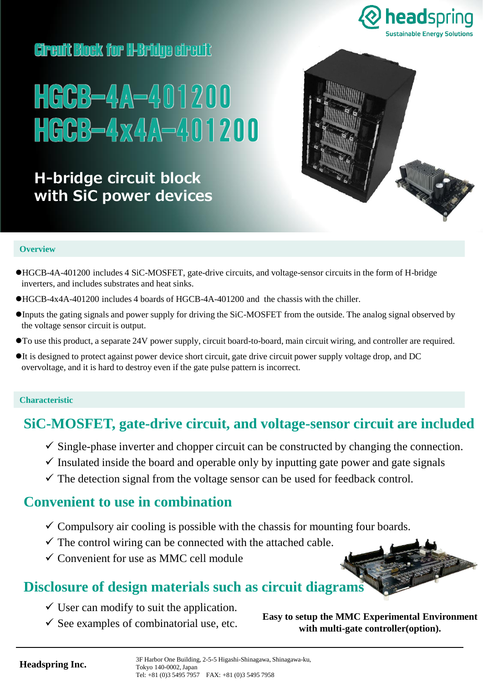

## **Circuit Block for I**HBridge circuit



# **H-bridge circuit block with SiC power devices**



### **Overview**

- ⚫HGCB-4A-401200 includes 4 SiC-MOSFET, gate-drive circuits, and voltage-sensor circuits in the form of H-bridge inverters, and includes substrates and heat sinks.
- ⚫HGCB-4x4A-401200 includes 4 boards of HGCB-4A-401200 and the chassis with the chiller.
- ⚫Inputs the gating signals and power supply for driving the SiC-MOSFET from the outside. The analog signal observed by the voltage sensor circuit is output.
- ⚫To use this product, a separate 24V power supply, circuit board-to-board, main circuit wiring, and controller are required.
- ⚫It is designed to protect against power device short circuit, gate drive circuit power supply voltage drop, and DC overvoltage, and it is hard to destroy even if the gate pulse pattern is incorrect.

#### **Characteristic**

### **SiC-MOSFET, gate-drive circuit, and voltage-sensor circuit are included**

- $\checkmark$  Single-phase inverter and chopper circuit can be constructed by changing the connection.
- $\checkmark$  Insulated inside the board and operable only by inputting gate power and gate signals
- $\checkmark$  The detection signal from the voltage sensor can be used for feedback control.

### **Convenient to use in combination**

- $\checkmark$  Compulsory air cooling is possible with the chassis for mounting four boards.
- $\checkmark$  The control wiring can be connected with the attached cable.
- $\checkmark$  Convenient for use as MMC cell module

### **Disclosure of design materials such as circuit diagrams**

- $\checkmark$  User can modify to suit the application.
- 

 $\checkmark$  See examples of combinatorial use, etc. **Easy to setup the MMC Experimental Environment with multi-gate controller(option).**

**Headspring Inc.** 

3F Harbor One Building, 2-5-5 Higashi-Shinagawa, Shinagawa-ku,<br>Tokyo, 140,0002, Japan TEL:03-5495-7957 FAX:03-5495-7958 Tel: +81 (0)3 5495 7957 FAX: +81 (0)3 5495 7958 Tokyo 140-0002, Japan